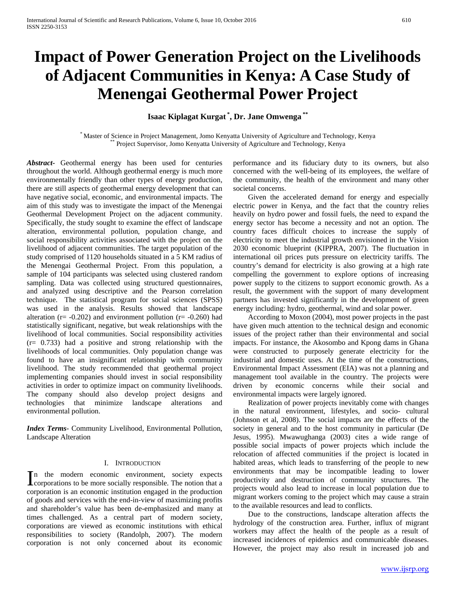# **Impact of Power Generation Project on the Livelihoods of Adjacent Communities in Kenya: A Case Study of Menengai Geothermal Power Project**

## **Isaac Kiplagat Kurgat \* , Dr. Jane Omwenga \*\***

\* Master of Science in Project Management, Jomo Kenyatta University of Agriculture and Technology, Kenya \*\* Project Supervisor, Jomo Kenyatta University of Agriculture and Technology, Kenya

*Abstract***-** Geothermal energy has been used for centuries throughout the world. Although geothermal energy is much more environmentally friendly than other types of energy production, there are still aspects of geothermal energy development that can have negative social, economic, and environmental impacts. The aim of this study was to investigate the impact of the Menengai Geothermal Development Project on the adjacent community. Specifically, the study sought to examine the effect of landscape alteration, environmental pollution, population change, and social responsibility activities associated with the project on the livelihood of adjacent communities. The target population of the study comprised of 1120 households situated in a 5 KM radius of the Menengai Geothermal Project. From this population, a sample of 104 participants was selected using clustered random sampling. Data was collected using structured questionnaires, and analyzed using descriptive and the Pearson correlation technique. The statistical program for social sciences (SPSS) was used in the analysis. Results showed that landscape alteration ( $r = -0.202$ ) and environment pollution ( $r = -0.260$ ) had statistically significant, negative, but weak relationships with the livelihood of local communities. Social responsibility activities (r= 0.733) had a positive and strong relationship with the livelihoods of local communities. Only population change was found to have an insignificant relationship with community livelihood. The study recommended that geothermal project implementing companies should invest in social responsibility activities in order to optimize impact on community livelihoods. The company should also develop project designs and technologies that minimize landscape alterations and environmental pollution.

*Index Terms*- Community Livelihood, Environmental Pollution, Landscape Alteration

## I. INTRODUCTION

n the modern economic environment, society expects In the modern economic environment, society expects corporations to be more socially responsible. The notion that a corporation is an economic institution engaged in the production of goods and services with the end-in-view of maximizing profits and shareholder's value has been de-emphasized and many at times challenged. As a central part of modern society, corporations are viewed as economic institutions with ethical responsibilities to society (Randolph, 2007). The modern corporation is not only concerned about its economic

performance and its fiduciary duty to its owners, but also concerned with the well-being of its employees, the welfare of the community, the health of the environment and many other societal concerns.

 Given the accelerated demand for energy and especially electric power in Kenya, and the fact that the country relies heavily on hydro power and fossil fuels, the need to expand the energy sector has become a necessity and not an option. The country faces difficult choices to increase the supply of electricity to meet the industrial growth envisioned in the Vision 2030 economic blueprint (KIPPRA, 2007). The fluctuation in international oil prices puts pressure on electricity tariffs. The country's demand for electricity is also growing at a high rate compelling the government to explore options of increasing power supply to the citizens to support economic growth. As a result, the government with the support of many development partners has invested significantly in the development of green energy including: hydro, geothermal, wind and solar power.

 According to Moxon (2004), most power projects in the past have given much attention to the technical design and economic issues of the project rather than their environmental and social impacts. For instance, the Akosombo and Kpong dams in Ghana were constructed to purposely generate electricity for the industrial and domestic uses. At the time of the constructions, Environmental Impact Assessment (EIA) was not a planning and management tool available in the country. The projects were driven by economic concerns while their social and environmental impacts were largely ignored.

 Realization of power projects inevitably come with changes in the natural environment, lifestyles, and socio- cultural (Johnson et al, 2008). The social impacts are the effects of the society in general and to the host community in particular (De Jesus, 1995). Mwawughanga (2003) cites a wide range of possible social impacts of power projects which include the relocation of affected communities if the project is located in habited areas, which leads to transferring of the people to new environments that may be incompatible leading to lower productivity and destruction of community structures. The projects would also lead to increase in local population due to migrant workers coming to the project which may cause a strain to the available resources and lead to conflicts.

 Due to the constructions, landscape alteration affects the hydrology of the construction area. Further, influx of migrant workers may affect the health of the people as a result of increased incidences of epidemics and communicable diseases. However, the project may also result in increased job and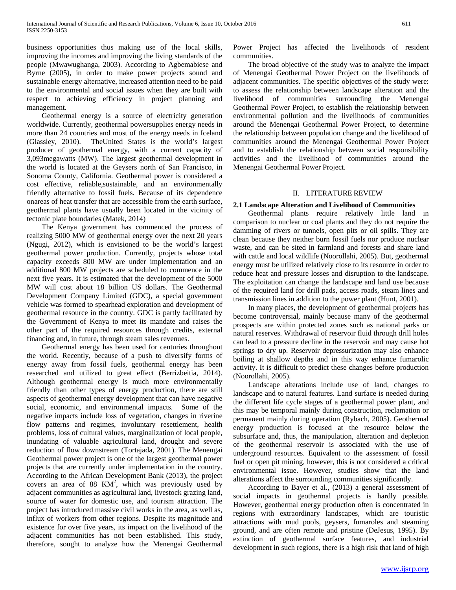business opportunities thus making use of the local skills, improving the incomes and improving the living standards of the people (Mwawughanga, 2003). According to Agbemabiese and Byrne (2005), in order to make power projects sound and sustainable energy alternative, increased attention need to be paid to the environmental and social issues when they are built with respect to achieving efficiency in project planning and management.

 Geothermal energy is a source of electricity generation worldwide. Currently, geothermal powersupplies energy needs in more than 24 countries and most of the energy needs in Iceland (Glassley, 2010). TheUnited States is the world's largest producer of geothermal energy, with a current capacity of 3,093megawatts (MW). The largest geothermal development in the world is located at the Geysers north of San Francisco, in Sonoma County, California. Geothermal power is considered a cost effective, reliable,sustainable, and an environmentally friendly alternative to fossil fuels. Because of its dependence onareas of heat transfer that are accessible from the earth surface, geothermal plants have usually been located in the vicinity of tectonic plate boundaries (Matek, 2014)

 The Kenya government has commenced the process of realizing 5000 MW of geothermal energy over the next 20 years (Ngugi, 2012), which is envisioned to be the world's largest geothermal power production. Currently, projects whose total capacity exceeds 800 MW are under implementation and an additional 800 MW projects are scheduled to commence in the next five years. It is estimated that the development of the 5000 MW will cost about 18 billion US dollars. The Geothermal Development Company Limited (GDC), a special government vehicle was formed to spearhead exploration and development of geothermal resource in the country. GDC is partly facilitated by the Government of Kenya to meet its mandate and raises the other part of the required resources through credits, external financing and, in future, through steam sales revenues.

 Geothermal energy has been used for centuries throughout the world. Recently, because of a push to diversify forms of energy away from fossil fuels, geothermal energy has been researched and utilized to great effect (Berrizbeitia, 2014). Although geothermal energy is much more environmentally friendly than other types of energy production, there are still aspects of geothermal energy development that can have negative social, economic, and environmental impacts. Some of the negative impacts include loss of vegetation, changes in riverine flow patterns and regimes, involuntary resettlement, health problems, loss of cultural values, marginalization of local people, inundating of valuable agricultural land, drought and severe reduction of flow downstream (Tortajada, 2001). The Menengai Geothermal power project is one of the largest geothermal power projects that are currently under implementation in the country. According to the African Development Bank (2013), the project covers an area of  $88$  KM<sup>2</sup>, which was previously used by adjacent communities as agricultural land, livestock grazing land, source of water for domestic use, and tourism attraction. The project has introduced massive civil works in the area, as well as, influx of workers from other regions. Despite its magnitude and existence for over five years, its impact on the livelihood of the adjacent communities has not been established. This study, therefore, sought to analyze how the Menengai Geothermal

Power Project has affected the livelihoods of resident communities.

 The broad objective of the study was to analyze the impact of Menengai Geothermal Power Project on the livelihoods of adjacent communities. The specific objectives of the study were: to assess the relationship between landscape alteration and the livelihood of communities surrounding the Menengai Geothermal Power Project, to establish the relationship between environmental pollution and the livelihoods of communities around the Menengai Geothermal Power Project, to determine the relationship between population change and the livelihood of communities around the Menengai Geothermal Power Project and to establish the relationship between social responsibility activities and the livelihood of communities around the Menengai Geothermal Power Project.

## II. LITERATURE REVIEW

## **2.1 Landscape Alteration and Livelihood of Communities**

 Geothermal plants require relatively little land in comparison to nuclear or coal plants and they do not require the damming of rivers or tunnels, open pits or oil spills. They are clean because they neither burn fossil fuels nor produce nuclear waste, and can be sited in farmland and forests and share land with cattle and local wildlife (Noorollahi, 2005). But, geothermal energy must be utilized relatively close to its resource in order to reduce heat and pressure losses and disruption to the landscape. The exploitation can change the landscape and land use because of the required land for drill pads, access roads, steam lines and transmission lines in addition to the power plant (Hunt, 2001).

 In many places, the development of geothermal projects has become controversial, mainly because many of the geothermal prospects are within protected zones such as national parks or natural reserves. Withdrawal of reservoir fluid through drill holes can lead to a pressure decline in the reservoir and may cause hot springs to dry up. Reservoir depressurization may also enhance boiling at shallow depths and in this way enhance fumarolic activity. It is difficult to predict these changes before production (Noorollahi, 2005).

 Landscape alterations include use of land, changes to landscape and to natural features. Land surface is needed during the different life cycle stages of a geothermal power plant, and this may be temporal mainly during construction, reclamation or permanent mainly during operation (Rybach, 2005). Geothermal energy production is focused at the resource below the subsurface and, thus, the manipulation, alteration and depletion of the geothermal reservoir is associated with the use of underground resources. Equivalent to the assessment of fossil fuel or open pit mining, however, this is not considered a critical environmental issue. However, studies show that the land alterations affect the surrounding communities significantly.

 According to Bayer et al., (2013) a general assessment of social impacts in geothermal projects is hardly possible. However, geothermal energy production often is concentrated in regions with extraordinary landscapes, which are touristic attractions with mud pools, geysers, fumaroles and steaming ground, and are often remote and pristine (DeJesus, 1995). By extinction of geothermal surface features, and industrial development in such regions, there is a high risk that land of high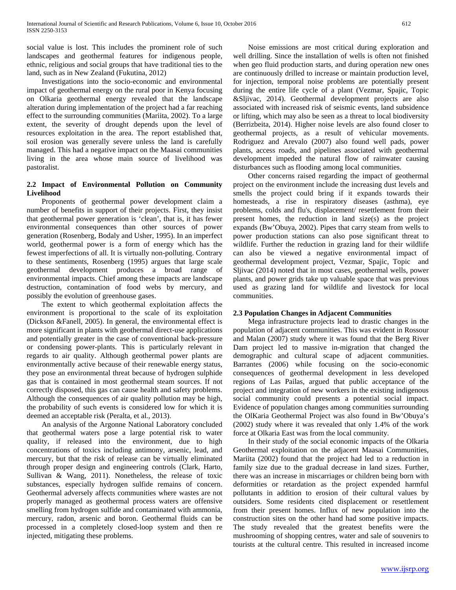social value is lost. This includes the prominent role of such landscapes and geothermal features for indigenous people, ethnic, religious and social groups that have traditional ties to the land, such as in New Zealand (Fukutina, 2012)

 Investigations into the socio-economic and environmental impact of geothermal energy on the rural poor in Kenya focusing on Olkaria geothermal energy revealed that the landscape alteration during implementation of the project had a far reaching effect to the surrounding communities (Mariita, 2002). To a large extent, the severity of drought depends upon the level of resources exploitation in the area. The report established that, soil erosion was generally severe unless the land is carefully managed. This had a negative impact on the Maasai communities living in the area whose main source of livelihood was pastoralist.

## **2.2 Impact of Environmental Pollution on Community Livelihood**

 Proponents of geothermal power development claim a number of benefits in support of their projects. First, they insist that geothermal power generation is 'clean', that is, it has fewer environmental consequences than other sources of power generation (Rosenberg, Bodaly and Usher, 1995). In an imperfect world, geothermal power is a form of energy which has the fewest imperfections of all. It is virtually non-polluting. Contrary to these sentiments, Rosenberg (1995) argues that large scale geothermal development produces a broad range of environmental impacts. Chief among these impacts are landscape destruction, contamination of food webs by mercury, and possibly the evolution of greenhouse gases.

 The extent to which geothermal exploitation affects the environment is proportional to the scale of its exploitation (Dickson &Fanell, 2005). In general, the environmental effect is more significant in plants with geothermal direct-use applications and potentially greater in the case of conventional back-pressure or condensing power-plants. This is particularly relevant in regards to air quality. Although geothermal power plants are environmentally active because of their renewable energy status, they pose an environmental threat because of hydrogen sulphide gas that is contained in most geothermal steam sources. If not correctly disposed, this gas can cause health and safety problems. Although the consequences of air quality pollution may be high, the probability of such events is considered low for which it is deemed an acceptable risk (Peralta, et al., 2013).

 An analysis of the Argonne National Laboratory concluded that geothermal waters pose a large potential risk to water quality, if released into the environment, due to high concentrations of toxics including antimony, arsenic, lead, and mercury, but that the risk of release can be virtually eliminated through proper design and engineering controls (Clark, Harto, Sullivan & Wang, 2011). Nonetheless, the release of toxic substances, especially hydrogen sulfide remains of concern. Geothermal adversely affects communities where wastes are not properly managed as geothermal process waters are offensive smelling from hydrogen sulfide and contaminated with ammonia, mercury, radon, arsenic and boron. Geothermal fluids can be processed in a completely closed-loop system and then re injected, mitigating these problems.

 Noise emissions are most critical during exploration and well drilling. Since the installation of wells is often not finished when geo fluid production starts, and during operation new ones are continuously drilled to increase or maintain production level, for injection, temporal noise problems are potentially present during the entire life cycle of a plant (Vezmar, Spajic, Topic &Sljivac, 2014). Geothermal development projects are also associated with increased risk of seismic events, land subsidence or lifting, which may also be seen as a threat to local biodiversity (Berrizbeita, 2014). Higher noise levels are also found closer to geothermal projects, as a result of vehicular movements. Rodriguez and Arevalo (2007) also found well pads, power plants, access roads, and pipelines associated with geothermal development impeded the natural flow of rainwater causing disturbances such as flooding among local communities.

 Other concerns raised regarding the impact of geothermal project on the environment include the increasing dust levels and smells the project could bring if it expands towards their homesteads, a rise in respiratory diseases (asthma), eye problems, colds and flu's, displacement/ resettlement from their present homes, the reduction in land size(s) as the project expands (Bw'Obuya, 2002). Pipes that carry steam from wells to power production stations can also pose significant threat to wildlife. Further the reduction in grazing land for their wildlife can also be viewed a negative environmental impact of geothermal development project, Vezmar, Spajic, Topic and Sljivac (2014) noted that in most cases, geothermal wells, power plants, and power grids take up valuable space that was previous used as grazing land for wildlife and livestock for local communities.

## **2.3 Population Changes in Adjacent Communities**

 Mega infrastructure projects lead to drastic changes in the population of adjacent communities. This was evident in Rossour and Malan (2007) study where it was found that the Berg River Dam project led to massive in-migration that changed the demographic and cultural scape of adjacent communities. Barrantes (2006) while focusing on the socio-economic consequences of geothermal development in less developed regions of Las Pailas, argued that public acceptance of the project and integration of new workers in the existing indigenous social community could presents a potential social impact. Evidence of population changes among communities surrounding the OlKaria Geothermal Project was also found in Bw'Obuya's (2002) study where it was revealed that only 1.4% of the work force at Olkaria East was from the local community.

 In their study of the social economic impacts of the Olkaria Geothermal exploitation on the adjacent Maasai Communities, Mariita (2002) found that the project had led to a reduction in family size due to the gradual decrease in land sizes. Further, there was an increase in miscarriages or children being born with deformities or retardation as the project expended harmful pollutants in addition to erosion of their cultural values by outsiders. Some residents cited displacement or resettlement from their present homes. Influx of new population into the construction sites on the other hand had some positive impacts. The study revealed that the greatest benefits were the mushrooming of shopping centres, water and sale of souvenirs to tourists at the cultural centre. This resulted in increased income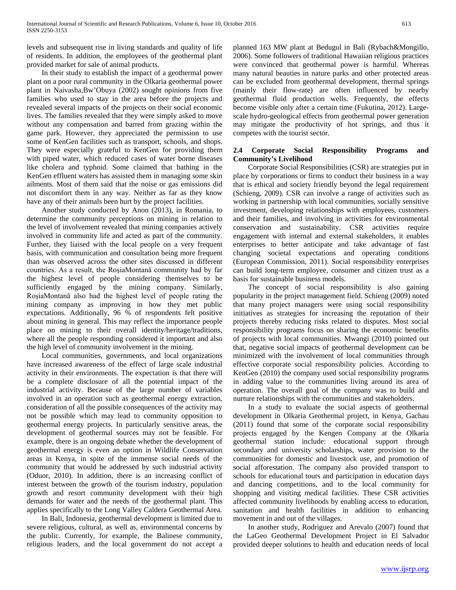levels and subsequent rise in living standards and quality of life of residents. In addition, the employees of the geothermal plant provided market for sale of animal products.

 In their study to establish the impact of a geothermal power plant on a poor rural community in the Olkaria geothermal power plant in Naivasha,Bw'Obuya (2002) sought opinions from five families who used to stay in the area before the projects and revealed several impacts of the projects on their social economic lives. The families revealed that they were simply asked to move without any compensation and barred from grazing within the game park. However, they appreciated the permission to use some of KenGen facilities such as transport, schools, and shops. They were especially grateful to KenGen for providing them with piped water, which reduced cases of water borne diseases like cholera and typhoid. Some claimed that bathing in the KenGen effluent waters has assisted them in managing some skin ailments. Most of them said that the noise or gas emissions did not discomfort them in any way. Neither as far as they know have any of their animals been hurt by the project facilities.

 Another study conducted by Anon (2013), in Romania, to determine the community perceptions on mining in relation to the level of involvement revealed that mining companies actively involved in community life and acted as part of the community. Further, they liaised with the local people on a very frequent basis, with communication and consultation being more frequent than was observed across the other sites discussed in different countries. As a result, the RoşiaMontană community had by far the highest level of people considering themselves to be sufficiently engaged by the mining company. Similarly, RoşiaMontană also had the highest level of people rating the mining company as improving in how they met public expectations. Additionally, 96 % of respondents felt positive about mining in general. This may reflect the importance people place on mining to their overall identity/heritage/traditions, where all the people responding considered it important and also the high level of community involvement in the mining.

 Local communities, governments, and local organizations have increased awareness of the effect of large scale industrial activity in their environments. The expectation is that there will be a complete disclosure of all the potential impact of the industrial activity. Because of the large number of variables involved in an operation such as geothermal energy extraction, consideration of all the possible consequences of the activity may not be possible which may lead to community opposition to geothermal energy projects. In particularly sensitive areas, the development of geothermal sources may not be feasible. For example, there is an ongoing debate whether the development of geothermal energy is even an option in Wildlife Conservation areas in Kenya, in spite of the immense social needs of the community that would be addressed by such industrial activity (Oduor, 2010). In addition, there is an increasing conflict of interest between the growth of the tourism industry, population growth and resort community development with their high demands for water and the needs of the geothermal plant. This applies specifically to the Long Valley Caldera Geothermal Area.

 In Bali, Indonesia, geothermal development is limited due to severe religious, cultural, as well as, environmental concerns by the public. Currently, for example, the Balinese community, religious leaders, and the local government do not accept a

planned 163 MW plant at Bedugul in Bali (Rybach&Mongillo, 2006). Some followers of traditional Hawaiian religious practices were convinced that geothermal power is harmful. Whereas many natural beauties in nature parks and other protected areas can be excluded from geothermal development, thermal springs (mainly their flow-rate) are often influenced by nearby geothermal fluid production wells. Frequently, the effects become visible only after a certain time (Fukutina, 2012). Largescale hydro-geological effects from geothermal power generation may mitigate the productivity of hot springs, and thus it competes with the tourist sector.

## **2.4 Corporate Social Responsibility Programs and Community's Livelihood**

 Corporate Social Responsibilities (CSR) are strategies put in place by corporations or firms to conduct their business in a way that is ethical and society friendly beyond the legal requirement (Schieng, 2009). CSR can involve a range of activities such as working in partnership with local communities, socially sensitive investment, developing relationships with employees, customers and their families, and involving in activities for environmental conservation and sustainability. CSR activities require engagement with internal and external stakeholders, it enables enterprises to better anticipate and take advantage of fast changing societal expectations and operating conditions (European Commission, 2011). Social responsibility enterprises can build long-term employee, consumer and citizen trust as a basis for sustainable business models.

 The concept of social responsibility is also gaining popularity in the project management field. Schieng (2009) noted that many project managers were using social responsibility initiatives as strategies for increasing the reputation of their projects thereby reducing risks related to disputes. Most social responsibility programs focus on sharing the economic benefits of projects with local communities. Mwangi (2010) pointed out that, negative social impacts of geothermal development can be minimized with the involvement of local communities through effective corporate social responsibility policies. According to KenGen (2010) the company used social responsibility programs in adding value to the communities living around its area of operation. The overall goal of the company was to build and nurture relationships with the communities and stakeholders.

 In a study to evaluate the social aspects of geothermal development in Olkaria Geothermal project, in Kenya, Gachau (2011) found that some of the corporate social responsibility projects engaged by the Kengen Company at the Olkaria geothermal station include: educational support through secondary and university scholarships, water provision to the communities for domestic and livestock use, and promotion of social afforestation. The company also provided transport to schools for educational tours and participation in education days and dancing competitions, and to the local community for shopping and visiting medical facilities. These CSR activities affected community livelihoods by enabling access to education, sanitation and health facilities in addition to enhancing movement in and out of the villages.

 In another study, Rodriguez and Arevalo (2007) found that the LaGeo Geothermal Development Project in El Salvador provided deeper solutions to health and education needs of local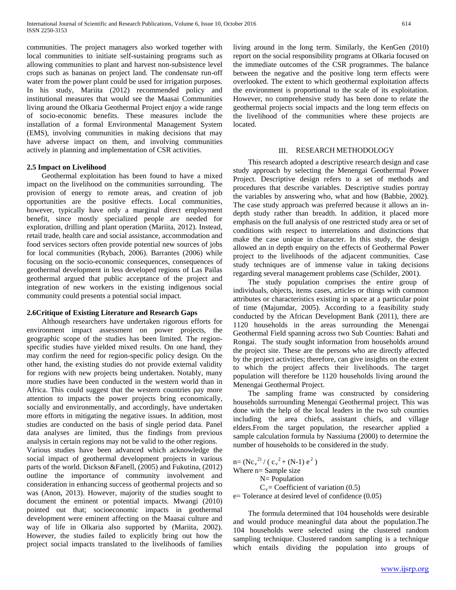communities. The project managers also worked together with local communities to initiate self-sustaining programs such as allowing communities to plant and harvest non-subsistence level crops such as bananas on project land. The condensate run-off water from the power plant could be used for irrigation purposes. In his study, Mariita (2012) recommended policy and institutional measures that would see the Maasai Communities living around the Olkaria Geothermal Project enjoy a wide range of socio-economic benefits. These measures include the installation of a formal Environmental Management System (EMS), involving communities in making decisions that may have adverse impact on them, and involving communities actively in planning and implementation of CSR activities.

## **2.5 Impact on Livelihood**

 Geothermal exploitation has been found to have a mixed impact on the livelihood on the communities surrounding. The provision of energy to remote areas, and creation of job opportunities are the positive effects. Local communities, however, typically have only a marginal direct employment benefit, since mostly specialized people are needed for exploration, drilling and plant operation (Mariita, 2012). Instead, retail trade, health care and social assistance, accommodation and food services sectors often provide potential new sources of jobs for local communities (Rybach, 2006). Barrantes (2006) while focusing on the socio-economic consequences, consequences of geothermal development in less developed regions of Las Pailas geothermal argued that public acceptance of the project and integration of new workers in the existing indigenous social community could presents a potential social impact.

#### **2.6Critique of Existing Literature and Research Gaps**

 Although researchers have undertaken rigorous efforts for environment impact assessment on power projects, the geographic scope of the studies has been limited. The regionspecific studies have yielded mixed results. On one hand, they may confirm the need for region-specific policy design. On the other hand, the existing studies do not provide external validity for regions with new projects being undertaken. Notably, many more studies have been conducted in the western world than in Africa. This could suggest that the western countries pay more attention to impacts the power projects bring economically, socially and environmentally, and accordingly, have undertaken more efforts in mitigating the negative issues. In addition, most studies are conducted on the basis of single period data. Panel data analyses are limited, thus the findings from previous analysis in certain regions may not be valid to the other regions.

Various studies have been advanced which acknowledge the social impact of geothermal development projects in various parts of the world. Dickson &Fanell, (2005) and Fukutina, (2012) outline the importance of community involvement and consideration in enhancing success of geothermal projects and so was (Anon, 2013). However, majority of the studies sought to document the eminent or potential impacts. Mwangi (2010) pointed out that; socioeconomic impacts in geothermal development were eminent affecting on the Maasai culture and way of life in Olkaria also supported by (Mariita, 2002). However, the studies failed to explicitly bring out how the project social impacts translated to the livelihoods of families

living around in the long term. Similarly, the KenGen (2010) report on the social responsibility programs at Olkaria focused on the immediate outcomes of the CSR programmes. The balance between the negative and the positive long term effects were overlooked. The extent to which geothermal exploitation affects the environment is proportional to the scale of its exploitation. However, no comprehensive study has been done to relate the geothermal projects social impacts and the long term effects on the livelihood of the communities where these projects are located.

#### III. RESEARCH METHODOLOGY

 This research adopted a descriptive research design and case study approach by selecting the Menengai Geothermal Power Project. Descriptive design refers to a set of methods and procedures that describe variables. Descriptive studies portray the variables by answering who, what and how (Babbie, 2002). The case study approach was preferred because it allows an indepth study rather than breadth. In addition, it placed more emphasis on the full analysis of one restricted study area or set of conditions with respect to interrelations and distinctions that make the case unique in character. In this study, the design allowed an in depth enquiry on the effects of Geothermal Power project to the livelihoods of the adjacent communities. Case study techniques are of immense value in taking decisions regarding several management problems case (Schilder, 2001).

 The study population comprises the entire group of individuals, objects, items cases, articles or things with common attributes or characteristics existing in space at a particular point of time (Majumdar, 2005). According to a feasibility study conducted by the African Development Bank (2011), there are 1120 households in the areas surrounding the Menengai Geothermal Field spanning across two Sub Counties: Bahati and Rongai. The study sought information from households around the project site. These are the persons who are directly affected by the project activities; therefore, can give insights on the extent to which the project affects their livelihoods. The target population will therefore be 1120 households living around the Menengai Geothermal Project.

 The sampling frame was constructed by considering households surrounding Menengai Geothermal project. This was done with the help of the local leaders in the two sub counties including the area chiefs, assistant chiefs, and village elders.From the target population, the researcher applied a sample calculation formula by Nassiuma (2000) to determine the number of households to be considered in the study.

 $n = (Nc_v^{2}) / (c_v^{2} + (N-1) e^{2})$ Where n= Sample size N= Population  $C_v$ = Coefficient of variation (0.5) e= Tolerance at desired level of confidence (0.05)

 The formula determined that 104 households were desirable and would produce meaningful data about the population.The 104 households were selected using the clustered random sampling technique. Clustered random sampling is a technique which entails dividing the population into groups of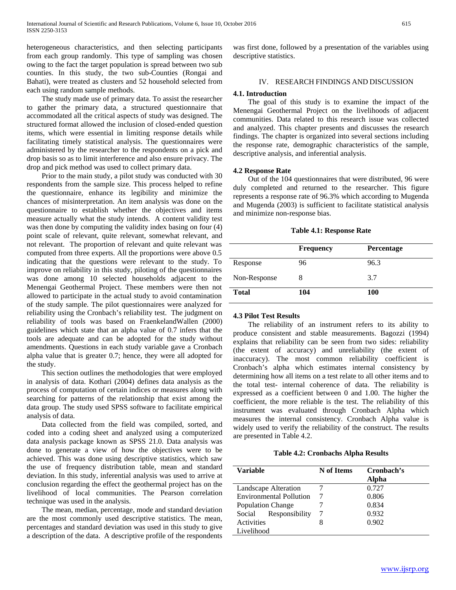heterogeneous characteristics, and then selecting participants from each group randomly. This type of sampling was chosen owing to the fact the target population is spread between two sub counties. In this study, the two sub-Counties (Rongai and Bahati), were treated as clusters and 52 household selected from each using random sample methods.

 The study made use of primary data. To assist the researcher to gather the primary data, a structured questionnaire that accommodated all the critical aspects of study was designed. The structured format allowed the inclusion of closed-ended question items, which were essential in limiting response details while facilitating timely statistical analysis. The questionnaires were administered by the researcher to the respondents on a pick and drop basis so as to limit interference and also ensure privacy. The drop and pick method was used to collect primary data.

 Prior to the main study, a pilot study was conducted with 30 respondents from the sample size. This process helped to refine the questionnaire, enhance its legibility and minimize the chances of misinterpretation. An item analysis was done on the questionnaire to establish whether the objectives and items measure actually what the study intends. A content validity test was then done by computing the validity index basing on four (4) point scale of relevant, quite relevant, somewhat relevant, and not relevant. The proportion of relevant and quite relevant was computed from three experts. All the proportions were above 0.5 indicating that the questions were relevant to the study. To improve on reliability in this study, piloting of the questionnaires was done among 10 selected households adjacent to the Menengai Geothermal Project. These members were then not allowed to participate in the actual study to avoid contamination of the study sample. The pilot questionnaires were analyzed for reliability using the Cronbach's reliability test. The judgment on reliability of tools was based on FraenkelandWallen (2000) guidelines which state that an alpha value of 0.7 infers that the tools are adequate and can be adopted for the study without amendments. Questions in each study variable gave a Cronbach alpha value that is greater 0.7; hence, they were all adopted for the study.

 This section outlines the methodologies that were employed in analysis of data. Kothari (2004) defines data analysis as the process of computation of certain indices or measures along with searching for patterns of the relationship that exist among the data group. The study used SPSS software to facilitate empirical analysis of data.

 Data collected from the field was compiled, sorted, and coded into a coding sheet and analyzed using a computerized data analysis package known as SPSS 21.0. Data analysis was done to generate a view of how the objectives were to be achieved. This was done using descriptive statistics, which saw the use of frequency distribution table, mean and standard deviation. In this study, inferential analysis was used to arrive at conclusion regarding the effect the geothermal project has on the livelihood of local communities. The Pearson correlation technique was used in the analysis.

 The mean, median, percentage, mode and standard deviation are the most commonly used descriptive statistics. The mean, percentages and standard deviation was used in this study to give a description of the data. A descriptive profile of the respondents was first done, followed by a presentation of the variables using descriptive statistics.

## IV. RESEARCH FINDINGS AND DISCUSSION

#### **4.1. Introduction**

 The goal of this study is to examine the impact of the Menengai Geothermal Project on the livelihoods of adjacent communities. Data related to this research issue was collected and analyzed. This chapter presents and discusses the research findings. The chapter is organized into several sections including the response rate, demographic characteristics of the sample, descriptive analysis, and inferential analysis.

#### **4.2 Response Rate**

 Out of the 104 questionnaires that were distributed, 96 were duly completed and returned to the researcher. This figure represents a response rate of 96.3% which according to Mugenda and Mugenda (2003) is sufficient to facilitate statistical analysis and minimize non-response bias.

**Table 4.1: Response Rate**

|              | <b>Frequency</b> | Percentage |
|--------------|------------------|------------|
| Response     | 96               | 96.3       |
| Non-Response | 8                | 3.7        |
| <b>Total</b> | 104              | 100        |

#### **4.3 Pilot Test Results**

 The reliability of an instrument refers to its ability to produce consistent and stable measurements. Bagozzi (1994) explains that reliability can be seen from two sides: reliability (the extent of accuracy) and unreliability (the extent of inaccuracy). The most common reliability coefficient is Cronbach's alpha which estimates internal consistency by determining how all items on a test relate to all other items and to the total test- internal coherence of data. The reliability is expressed as a coefficient between 0 and 1.00. The higher the coefficient, the more reliable is the test. The reliability of this instrument was evaluated through Cronbach Alpha which measures the internal consistency. Cronbach Alpha value is widely used to verify the reliability of the construct. The results are presented in Table 4.2.

**Table 4.2: Cronbachs Alpha Results**

| Variable                       | N of Items | Cronbach's<br>Alpha |
|--------------------------------|------------|---------------------|
| Landscape Alteration           |            | 0.727               |
| <b>Environmental Pollution</b> |            | 0.806               |
| <b>Population Change</b>       |            | 0.834               |
| Responsibility<br>Social       |            | 0.932               |
| Activities                     |            | 0.902               |
| Livelihood                     |            |                     |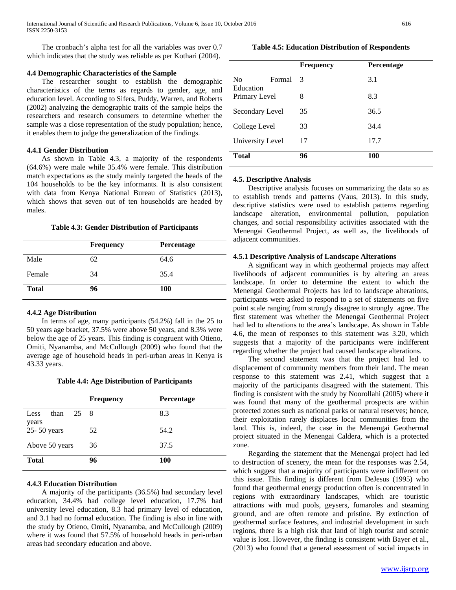The cronbach's alpha test for all the variables was over 0.7 which indicates that the study was reliable as per Kothari (2004).

## **4.4 Demographic Characteristics of the Sample**

 The researcher sought to establish the demographic characteristics of the terms as regards to gender, age, and education level. According to Sifers, Puddy, Warren, and Roberts (2002) analyzing the demographic traits of the sample helps the researchers and research consumers to determine whether the sample was a close representation of the study population; hence, it enables them to judge the generalization of the findings.

#### **4.4.1 Gender Distribution**

 As shown in Table 4.3, a majority of the respondents (64.6%) were male while 35.4% were female. This distribution match expectations as the study mainly targeted the heads of the 104 households to be the key informants. It is also consistent with data from Kenya National Bureau of Statistics (2013), which shows that seven out of ten households are headed by males.

#### **Table 4.3: Gender Distribution of Participants**

|              | <b>Frequency</b> | Percentage |
|--------------|------------------|------------|
| Male         | 62               | 64.6       |
| Female       | 34               | 35.4       |
| <b>Total</b> | 96               | <b>100</b> |

#### **4.4.2 Age Distribution**

 In terms of age, many participants (54.2%) fall in the 25 to 50 years age bracket, 37.5% were above 50 years, and 8.3% were below the age of 25 years. This finding is congruent with Otieno, Omiti, Nyanamba, and McCullough (2009) who found that the average age of household heads in peri-urban areas in Kenya is 43.33 years.

**Table 4.4: Age Distribution of Participants**

|                               | <b>Frequency</b> | <b>Percentage</b> |
|-------------------------------|------------------|-------------------|
| 25 8<br>than<br>Less<br>years |                  | 8.3               |
| 25-50 years                   | 52               | 54.2              |
| Above 50 years                | 36               | 37.5              |
| <b>Total</b>                  | 96               | 100               |

## **4.4.3 Education Distribution**

 A majority of the participants (36.5%) had secondary level education, 34.4% had college level education, 17.7% had university level education, 8.3 had primary level of education, and 3.1 had no formal education. The finding is also in line with the study by Otieno, Omiti, Nyanamba, and McCullough (2009) where it was found that 57.5% of household heads in peri-urban areas had secondary education and above.

**Frequency Percentage**

**Table 4.5: Education Distribution of Respondents**

| No<br>Formal     | -3 | 3.1  |
|------------------|----|------|
| Education        |    |      |
| Primary Level    | 8  | 8.3  |
| Secondary Level  | 35 | 36.5 |
| College Level    | 33 | 34.4 |
| University Level | 17 | 17.7 |
| <b>Total</b>     | 96 | 100  |

#### **4.5. Descriptive Analysis**

 Descriptive analysis focuses on summarizing the data so as to establish trends and patterns (Vaus, 2013). In this study, descriptive statistics were used to establish patterns regarding landscape alteration, environmental pollution, population changes, and social responsibility activities associated with the Menengai Geothermal Project, as well as, the livelihoods of adjacent communities.

## **4.5.1 Descriptive Analysis of Landscape Alterations**

 A significant way in which geothermal projects may affect livelihoods of adjacent communities is by altering an areas landscape. In order to determine the extent to which the Menengai Geothermal Projects has led to landscape alterations, participants were asked to respond to a set of statements on five point scale ranging from strongly disagree to strongly agree. The first statement was whether the Menengai Geothermal Project had led to alterations to the area's landscape. As shown in Table 4.6, the mean of responses to this statement was 3.20, which suggests that a majority of the participants were indifferent regarding whether the project had caused landscape alterations.

 The second statement was that the project had led to displacement of community members from their land. The mean response to this statement was 2.41, which suggest that a majority of the participants disagreed with the statement. This finding is consistent with the study by Noorollahi (2005) where it was found that many of the geothermal prospects are within protected zones such as national parks or natural reserves; hence, their exploitation rarely displaces local communities from the land. This is, indeed, the case in the Menengai Geothermal project situated in the Menengai Caldera, which is a protected zone.

 Regarding the statement that the Menengai project had led to destruction of scenery, the mean for the responses was 2.54, which suggest that a majority of participants were indifferent on this issue. This finding is different from DeJesus (1995) who found that geothermal energy production often is concentrated in regions with extraordinary landscapes, which are touristic attractions with mud pools, geysers, fumaroles and steaming ground, and are often remote and pristine. By extinction of geothermal surface features, and industrial development in such regions, there is a high risk that land of high tourist and scenic value is lost. However, the finding is consistent with Bayer et al., (2013) who found that a general assessment of social impacts in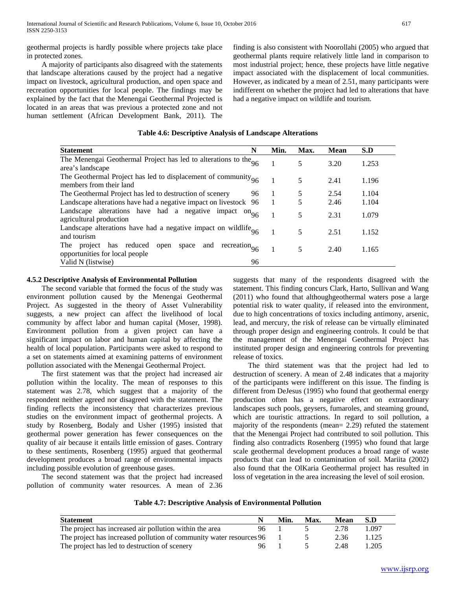geothermal projects is hardly possible where projects take place in protected zones.

 A majority of participants also disagreed with the statements that landscape alterations caused by the project had a negative impact on livestock, agricultural production, and open space and recreation opportunities for local people. The findings may be explained by the fact that the Menengai Geothermal Projected is located in an areas that was previous a protected zone and not human settlement (African Development Bank, 2011). The finding is also consistent with Noorollahi (2005) who argued that geothermal plants require relatively little land in comparison to most industrial project; hence, these projects have little negative impact associated with the displacement of local communities. However, as indicated by a mean of 2.51, many participants were indifferent on whether the project had led to alterations that have had a negative impact on wildlife and tourism.

## **Table 4.6: Descriptive Analysis of Landscape Alterations**

| N<br><b>Statement</b>                                                                                            |    | Min. | Max. | <b>Mean</b> | S.D   |
|------------------------------------------------------------------------------------------------------------------|----|------|------|-------------|-------|
| The Menengai Geothermal Project has led to alterations to the $\alpha$<br>area's landscape                       |    |      | 5    | 3.20        | 1.253 |
| The Geothermal Project has led to displacement of community $_{06}$<br>members from their land                   |    |      | 5    | 2.41        | 1.196 |
| The Geothermal Project has led to destruction of scenery                                                         | 96 |      | 5    | 2.54        | 1.104 |
| Landscape alterations have had a negative impact on livestock 96                                                 |    |      | 5    | 2.46        | 1.104 |
| Landscape alterations have had a negative impact $\omega_{96}$<br>agricultural production                        |    |      | 5    | 2.31        | 1.079 |
| Landscape alterations have had a negative impact on wildlife $_{96}$<br>and tourism                              |    |      | 5    | 2.51        | 1.152 |
| reduced<br>recreation $_{96}$<br>and<br>The<br>space<br>has<br>project<br>open<br>opportunities for local people |    |      | 5    | 2.40        | 1.165 |
| Valid N (listwise)                                                                                               | 96 |      |      |             |       |

## **4.5.2 Descriptive Analysis of Environmental Pollution**

 The second variable that formed the focus of the study was environment pollution caused by the Menengai Geothermal Project. As suggested in the theory of Asset Vulnerability suggests, a new project can affect the livelihood of local community by affect labor and human capital (Moser, 1998). Environment pollution from a given project can have a significant impact on labor and human capital by affecting the health of local population. Participants were asked to respond to a set on statements aimed at examining patterns of environment pollution associated with the Menengai Geothermal Project.

 The first statement was that the project had increased air pollution within the locality. The mean of responses to this statement was 2.78, which suggest that a majority of the respondent neither agreed nor disagreed with the statement. The finding reflects the inconsistency that characterizes previous studies on the environment impact of geothermal projects. A study by Rosenberg, Bodaly and Usher (1995) insisted that geothermal power generation has fewer consequences on the quality of air because it entails little emission of gases. Contrary to these sentiments, Rosenberg (1995) argued that geothermal development produces a broad range of environmental impacts including possible evolution of greenhouse gases.

 The second statement was that the project had increased pollution of community water resources. A mean of 2.36 suggests that many of the respondents disagreed with the statement. This finding concurs Clark, Harto, Sullivan and Wang (2011) who found that althoughgeothermal waters pose a large potential risk to water quality, if released into the environment, due to high concentrations of toxics including antimony, arsenic, lead, and mercury, the risk of release can be virtually eliminated through proper design and engineering controls. It could be that the management of the Menengai Geothermal Project has instituted proper design and engineering controls for preventing release of toxics.

 The third statement was that the project had led to destruction of scenery. A mean of 2.48 indicates that a majority of the participants were indifferent on this issue. The finding is different from DeJesus (1995) who found that geothermal energy production often has a negative effect on extraordinary landscapes such pools, geysers, fumaroles, and steaming ground, which are touristic attractions. In regard to soil pollution, a majority of the respondents (mean= 2.29) refuted the statement that the Menengai Project had contributed to soil pollution. This finding also contradicts Rosenberg (1995) who found that large scale geothermal development produces a broad range of waste products that can lead to contamination of soil. Mariita (2002) also found that the OlKaria Geothermal project has resulted in loss of vegetation in the area increasing the level of soil erosion.

| Table 4.7: Descriptive Analysis of Environmental Pollution |
|------------------------------------------------------------|
|------------------------------------------------------------|

| <b>Statement</b>                                                    |    | Min. | Max. | Mean | S.D   |
|---------------------------------------------------------------------|----|------|------|------|-------|
| The project has increased air pollution within the area             | 96 |      |      | 2.78 | L097  |
| The project has increased pollution of community water resources 96 |    |      |      | 2.36 | 1.125 |
| The project has led to destruction of scenery                       | 96 |      |      | 2.48 | 1.205 |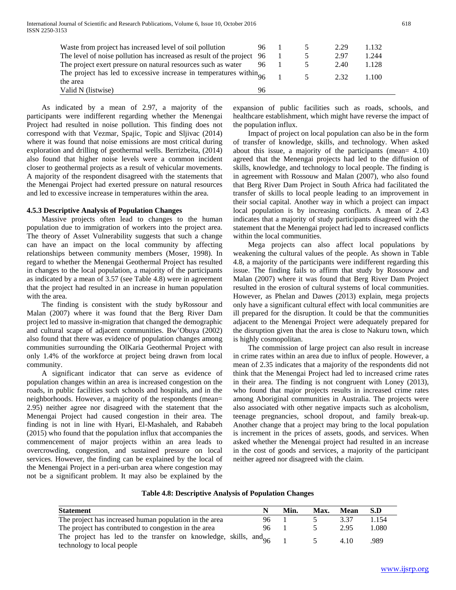| Waste from project has increased level of soil pollution                 |    |  | 2.29 | 1.132 |
|--------------------------------------------------------------------------|----|--|------|-------|
|                                                                          |    |  |      |       |
| The level of noise pollution has increased as result of the project 96   |    |  | 2.97 | 1.244 |
| The project exert pressure on natural resources such as water            |    |  | 2.40 | 1.128 |
| The project has led to excessive increase in temperatures within $_{06}$ |    |  | 232  | 1 100 |
| the area                                                                 |    |  |      |       |
| Valid N (listwise)                                                       | 96 |  |      |       |

 As indicated by a mean of 2.97, a majority of the participants were indifferent regarding whether the Menengai Project had resulted in noise pollution. This finding does not correspond with that Vezmar, Spajic, Topic and Sljivac (2014) where it was found that noise emissions are most critical during exploration and drilling of geothermal wells. Berrizbeita, (2014) also found that higher noise levels were a common incident closer to geothermal projects as a result of vehicular movements. A majority of the respondent disagreed with the statements that the Menengai Project had exerted pressure on natural resources and led to excessive increase in temperatures within the area.

#### **4.5.3 Descriptive Analysis of Population Changes**

 Massive projects often lead to changes to the human population due to immigration of workers into the project area. The theory of Asset Vulnerability suggests that such a change can have an impact on the local community by affecting relationships between community members (Moser, 1998). In regard to whether the Menengai Geothermal Project has resulted in changes to the local population, a majority of the participants as indicated by a mean of 3.57 (see Table 4.8) were in agreement that the project had resulted in an increase in human population with the area.

 The finding is consistent with the study byRossour and Malan (2007) where it was found that the Berg River Dam project led to massive in-migration that changed the demographic and cultural scape of adjacent communities. Bw'Obuya (2002) also found that there was evidence of population changes among communities surrounding the OlKaria Geothermal Project with only 1.4% of the workforce at project being drawn from local community.

 A significant indicator that can serve as evidence of population changes within an area is increased congestion on the roads, in public facilities such schools and hospitals, and in the neighborhoods. However, a majority of the respondents (mean= 2.95) neither agree nor disagreed with the statement that the Menengai Project had caused congestion in their area. The finding is not in line with Hyari, El-Mashaleh, and Rababeh (2015) who found that the population influx that accompanies the commencement of major projects within an area leads to overcrowding, congestion, and sustained pressure on local services. However, the finding can be explained by the local of the Menengai Project in a peri-urban area where congestion may not be a significant problem. It may also be explained by the expansion of public facilities such as roads, schools, and healthcare establishment, which might have reverse the impact of the population influx.

 Impact of project on local population can also be in the form of transfer of knowledge, skills, and technology. When asked about this issue, a majority of the participants (mean= 4.10) agreed that the Menengai projects had led to the diffusion of skills, knowledge, and technology to local people. The finding is in agreement with Rossouw and Malan (2007), who also found that Berg River Dam Project in South Africa had facilitated the transfer of skills to local people leading to an improvement in their social capital. Another way in which a project can impact local population is by increasing conflicts. A mean of 2.43 indicates that a majority of study participants disagreed with the statement that the Menengai project had led to increased conflicts within the local communities.

 Mega projects can also affect local populations by weakening the cultural values of the people. As shown in Table 4.8, a majority of the participants were indifferent regarding this issue. The finding fails to affirm that study by Rossouw and Malan (2007) where it was found that Berg River Dam Project resulted in the erosion of cultural systems of local communities. However, as Phelan and Dawes (2013) explain, mega projects only have a significant cultural effect with local communities are ill prepared for the disruption. It could be that the communities adjacent to the Menengai Project were adequately prepared for the disruption given that the area is close to Nakuru town, which is highly cosmopolitan.

 The commission of large project can also result in increase in crime rates within an area due to influx of people. However, a mean of 2.35 indicates that a majority of the respondents did not think that the Menengai Project had led to increased crime rates in their area. The finding is not congruent with Loney (2013), who found that major projects results in increased crime rates among Aboriginal communities in Australia. The projects were also associated with other negative impacts such as alcoholism, teenage pregnancies, school dropout, and family break-up. Another change that a project may bring to the local population is increment in the prices of assets, goods, and services. When asked whether the Menengai project had resulted in an increase in the cost of goods and services, a majority of the participant neither agreed nor disagreed with the claim.

#### **Table 4.8: Descriptive Analysis of Population Changes**

| <b>Statement</b>                                                                                          |     | Min. | Max. | Mean  | S.D   |
|-----------------------------------------------------------------------------------------------------------|-----|------|------|-------|-------|
| The project has increased human population in the area                                                    | 96  |      |      | 3.37  | 1.154 |
| The project has contributed to congestion in the area                                                     | 96. |      |      | 2.95  | 1.080 |
| The project has led to the transfer on knowledge, skills, $\text{and}_{96}$<br>technology to local people |     |      |      | 4 1 0 | .989  |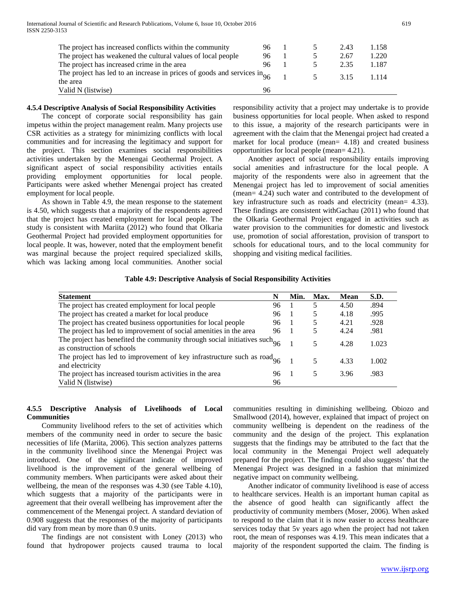International Journal of Scientific and Research Publications, Volume 6, Issue 10, October 2016 619 ISSN 2250-3153

| The project has increased conflicts within the community                                        | 96 |  | 2.43 | 1.158   |
|-------------------------------------------------------------------------------------------------|----|--|------|---------|
| The project has weakened the cultural values of local people                                    | 96 |  | 2.67 | 1.220   |
| The project has increased crime in the area                                                     | 96 |  | 2.35 | 1.187   |
| The project has led to an increase in prices of goods and services $\text{in}_{96}$<br>the area |    |  | 315  | 1 1 1 4 |
| Valid N (listwise)                                                                              | 96 |  |      |         |

#### **4.5.4 Descriptive Analysis of Social Responsibility Activities**

 The concept of corporate social responsibility has gain impetus within the project management realm. Many projects use CSR activities as a strategy for minimizing conflicts with local communities and for increasing the legitimacy and support for the project. This section examines social responsibilities activities undertaken by the Menengai Geothermal Project. A significant aspect of social responsibility activities entails providing employment opportunities for local people. Participants were asked whether Menengai project has created employment for local people.

 As shown in Table 4.9, the mean response to the statement is 4.50, which suggests that a majority of the respondents agreed that the project has created employment for local people. The study is consistent with Mariita (2012) who found that Olkaria Geothermal Project had provided employment opportunities for local people. It was, however, noted that the employment benefit was marginal because the project required specialized skills, which was lacking among local communities. Another social

responsibility activity that a project may undertake is to provide business opportunities for local people. When asked to respond to this issue, a majority of the research participants were in agreement with the claim that the Menengai project had created a market for local produce (mean= 4.18) and created business opportunities for local people (mean= 4.21).

 Another aspect of social responsibility entails improving social amenities and infrastructure for the local people. A majority of the respondents were also in agreement that the Menengai project has led to improvement of social amenities (mean= 4.24) such water and contributed to the development of key infrastructure such as roads and electricity (mean= 4.33). These findings are consistent withGachau (2011) who found that the Olkaria Geothermal Project engaged in activities such as water provision to the communities for domestic and livestock use, promotion of social afforestation, provision of transport to schools for educational tours, and to the local community for shopping and visiting medical facilities.

#### **Table 4.9: Descriptive Analysis of Social Responsibility Activities**

| <b>Statement</b>                                                                                           | N  | Min.           | Max. | <b>Mean</b> | S.D.  |
|------------------------------------------------------------------------------------------------------------|----|----------------|------|-------------|-------|
| The project has created employment for local people                                                        | 96 |                | 5    | 4.50        | .894  |
| The project has created a market for local produce                                                         | 96 |                | 5    | 4.18        | .995  |
| The project has created business opportunities for local people                                            | 96 | $\overline{1}$ | 5    | 4.21        | .928  |
| The project has led to improvement of social amenities in the area                                         | 96 | -1             |      | 4.24        | .981  |
| The project has benefited the community through social initiatives such $96$<br>as construction of schools |    |                | 5    | 4.28        | 1.023 |
| The project has led to improvement of key infrastructure such as $\text{road}_{96}$<br>and electricity     |    |                | 5    | 4.33        | 1.002 |
| The project has increased tourism activities in the area                                                   | 96 | - 1            | 5    | 3.96        | .983  |
| Valid N (listwise)                                                                                         | 96 |                |      |             |       |

## **4.5.5 Descriptive Analysis of Livelihoods of Local Communities**

 Community livelihood refers to the set of activities which members of the community need in order to secure the basic necessities of life (Mariita, 2006). This section analyzes patterns in the community livelihood since the Menengai Project was introduced. One of the significant indicate of improved livelihood is the improvement of the general wellbeing of community members. When participants were asked about their wellbeing, the mean of the responses was 4.30 (see Table 4.10), which suggests that a majority of the participants were in agreement that their overall wellbeing has improvement after the commencement of the Menengai project. A standard deviation of 0.908 suggests that the responses of the majority of participants did vary from mean by more than 0.9 units.

 The findings are not consistent with Loney (2013) who found that hydropower projects caused trauma to local communities resulting in diminishing wellbeing. Obiozo and Smallwood (2014), however, explained that impact of project on community wellbeing is dependent on the readiness of the community and the design of the project. This explanation suggests that the findings may be attributed to the fact that the local community in the Menengai Project well adequately prepared for the project. The finding could also suggests' that the Menengai Project was designed in a fashion that minimized negative impact on community wellbeing.

 Another indicator of community livelihood is ease of access to healthcare services. Health is an important human capital as the absence of good health can significantly affect the productivity of community members (Moser, 2006). When asked to respond to the claim that it is now easier to access healthcare services today that 5v years ago when the project had not taken root, the mean of responses was 4.19. This mean indicates that a majority of the respondent supported the claim. The finding is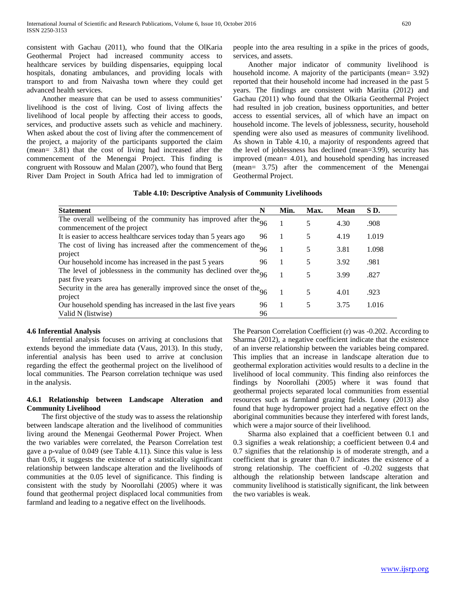consistent with Gachau (2011), who found that the OlKaria Geothermal Project had increased community access to healthcare services by building dispensaries, equipping local hospitals, donating ambulances, and providing locals with transport to and from Naivasha town where they could get advanced health services.

 Another measure that can be used to assess communities' livelihood is the cost of living. Cost of living affects the livelihood of local people by affecting their access to goods, services, and productive assets such as vehicle and machinery. When asked about the cost of living after the commencement of the project, a majority of the participants supported the claim (mean= 3.81) that the cost of living had increased after the commencement of the Menengai Project. This finding is congruent with Rossouw and Malan (2007), who found that Berg River Dam Project in South Africa had led to immigration of people into the area resulting in a spike in the prices of goods, services, and assets.

 Another major indicator of community livelihood is household income. A majority of the participants (mean= 3.92) reported that their household income had increased in the past 5 years. The findings are consistent with Mariita (2012) and Gachau (2011) who found that the Olkaria Geothermal Project had resulted in job creation, business opportunities, and better access to essential services, all of which have an impact on household income. The levels of joblessness, security, household spending were also used as measures of community livelihood. As shown in Table 4.10, a majority of respondents agreed that the level of joblessness has declined (mean=3.99), security has improved (mean= 4.01), and household spending has increased (mean= 3.75) after the commencement of the Menengai Geothermal Project.

| <b>Statement</b>                                                                                  | N  | Min. | Max. | <b>Mean</b> | SD.   |
|---------------------------------------------------------------------------------------------------|----|------|------|-------------|-------|
| The overall wellbeing of the community has improved after the $96$<br>commencement of the project |    |      | 5    | 4.30        | .908  |
| It is easier to access healthcare services today than 5 years ago                                 | 96 |      | 5    | 4.19        | 1.019 |
| The cost of living has increased after the commencement of the $96$<br>project                    |    |      | 5    | 3.81        | 1.098 |
| Our household income has increased in the past 5 years                                            | 96 |      | 5    | 3.92        | .981  |
| The level of joblessness in the community has declined over the $96$<br>past five years           |    |      | 5    | 3.99        | .827  |
| Security in the area has generally improved since the onset of the $96$<br>project                |    |      | 5    | 4.01        | .923  |
| Our household spending has increased in the last five years                                       | 96 | 1    | 5    | 3.75        | 1.016 |
| Valid N (listwise)                                                                                | 96 |      |      |             |       |

## **4.6 Inferential Analysis**

 Inferential analysis focuses on arriving at conclusions that extends beyond the immediate data (Vaus, 2013). In this study, inferential analysis has been used to arrive at conclusion regarding the effect the geothermal project on the livelihood of local communities. The Pearson correlation technique was used in the analysis.

## **4.6.1 Relationship between Landscape Alteration and Community Livelihood**

 The first objective of the study was to assess the relationship between landscape alteration and the livelihood of communities living around the Menengai Geothermal Power Project. When the two variables were correlated, the Pearson Correlation test gave a p-value of 0.049 (see Table 4.11). Since this value is less than 0.05, it suggests the existence of a statistically significant relationship between landscape alteration and the livelihoods of communities at the 0.05 level of significance. This finding is consistent with the study by Noorollahi (2005) where it was found that geothermal project displaced local communities from farmland and leading to a negative effect on the livelihoods.

The Pearson Correlation Coefficient (r) was -0.202. According to Sharma (2012), a negative coefficient indicate that the existence of an inverse relationship between the variables being compared. This implies that an increase in landscape alteration due to geothermal exploration activities would results to a decline in the livelihood of local community. This finding also reinforces the findings by Noorollahi (2005) where it was found that geothermal projects separated local communities from essential resources such as farmland grazing fields. Loney (2013) also found that huge hydropower project had a negative effect on the aboriginal communities because they interfered with forest lands, which were a major source of their livelihood.

 Sharma also explained that a coefficient between 0.1 and 0.3 signifies a weak relationship; a coefficient between 0.4 and 0.7 signifies that the relationship is of moderate strength, and a coefficient that is greater than 0.7 indicates the existence of a strong relationship. The coefficient of -0.202 suggests that although the relationship between landscape alteration and community livelihood is statistically significant, the link between the two variables is weak.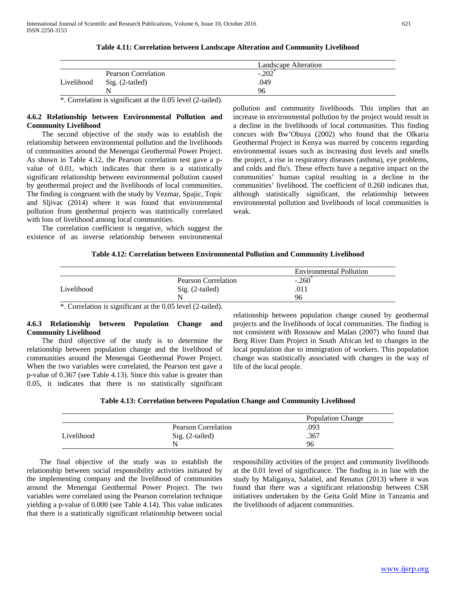|            |                     | Landscape Alteration |  |
|------------|---------------------|----------------------|--|
|            | Pearson Correlation | $-.202$              |  |
| Livelihood | Sig. (2-tailed)     | .049                 |  |
|            |                     | 96                   |  |

#### **Table 4.11: Correlation between Landscape Alteration and Community Livelihood**

\*. Correlation is significant at the 0.05 level (2-tailed).

## **4.6.2 Relationship between Environmental Pollution and Community Livelihood**

 The second objective of the study was to establish the relationship between environmental pollution and the livelihoods of communities around the Menengai Geothermal Power Project. As shown in Table 4.12, the Pearson correlation test gave a pvalue of 0.01, which indicates that there is a statistically significant relationship between environmental pollution caused by geothermal project and the livelihoods of local communities. The finding is congruent with the study by Vezmar, Spajic, Topic and Sljivac (2014) where it was found that environmental pollution from geothermal projects was statistically correlated with loss of livelihood among local communities.

 The correlation coefficient is negative, which suggest the existence of an inverse relationship between environmental pollution and community livelihoods. This implies that an increase in environmental pollution by the project would result in a decline in the livelihoods of local communities. This finding concurs with Bw'Obuya (2002) who found that the Olkaria Geothermal Project in Kenya was marred by concerns regarding environmental issues such as increasing dust levels and smells the project, a rise in respiratory diseases (asthma), eye problems, and colds and flu's. These effects have a negative impact on the communities' human capital resulting in a decline in the communities' livelihood. The coefficient of 0.260 indicates that, although statistically significant, the relationship between environmental pollution and livelihoods of local communities is weak.

## **Table 4.12: Correlation between Environmental Pollution and Community Livelihood**

|            |                     | <b>Environmental Pollution</b> |
|------------|---------------------|--------------------------------|
|            | Pearson Correlation | $-.260$                        |
| Livelihood | Sig. (2-tailed)     | .011                           |
|            |                     | 96                             |

\*. Correlation is significant at the 0.05 level (2-tailed).

## **4.6.3 Relationship between Population Change and Community Livelihood**

 The third objective of the study is to determine the relationship between population change and the livelihood of communities around the Menengai Geothermal Power Project. When the two variables were correlated, the Pearson test gave a p-value of 0.367 (see Table 4.13). Since this value is greater than 0.05, it indicates that there is no statistically significant relationship between population change caused by geothermal projects and the livelihoods of local communities. The finding is not consistent with Rossouw and Malan (2007) who found that Berg River Dam Project in South African led to changes in the local population due to immigration of workers. This population change was statistically associated with changes in the way of life of the local people.

|            |                     | <b>Population Change</b> |
|------------|---------------------|--------------------------|
|            | Pearson Correlation | .093                     |
| Livelihood | Sig. (2-tailed)     | .367                     |
|            | N.                  | 96                       |

 The final objective of the study was to establish the relationship between social responsibility activities initiated by the implementing company and the livelihood of communities around the Menengai Geothermal Power Project. The two variables were correlated using the Pearson correlation technique yielding a p-value of 0.000 (see Table 4.14). This value indicates that there is a statistically significant relationship between social

responsibility activities of the project and community livelihoods at the 0.01 level of significance. The finding is in line with the study by Maliganya, Salatiel, and Renatus (2013) where it was found that there was a significant relationship between CSR initiatives undertaken by the Geita Gold Mine in Tanzania and the livelihoods of adjacent communities.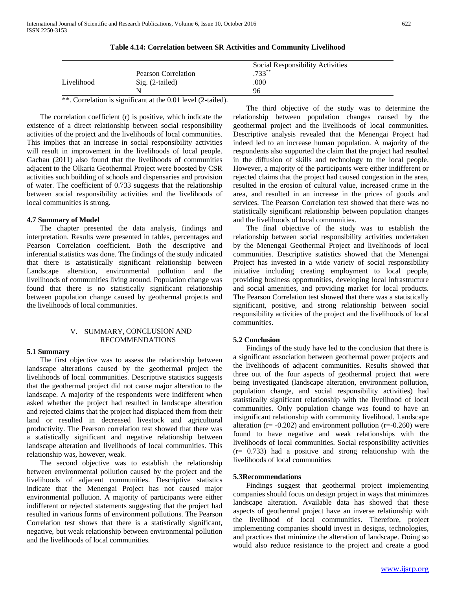| ٦<br>×<br>M.<br>۰, |
|--------------------|
|--------------------|

|            |                     | Social Responsibility Activities |  |
|------------|---------------------|----------------------------------|--|
|            | Pearson Correlation | $.733***$                        |  |
| Livelihood | Sig. (2-tailed)     | .000                             |  |

N  $96$ 

**Table 4.14: Correlation between SR Activities and Community Livelihood**

\*\*. Correlation is significant at the 0.01 level (2-tailed).

 The correlation coefficient (r) is positive, which indicate the existence of a direct relationship between social responsibility activities of the project and the livelihoods of local communities. This implies that an increase in social responsibility activities will result in improvement in the livelihoods of local people. Gachau (2011) also found that the livelihoods of communities adjacent to the Olkaria Geothermal Project were boosted by CSR activities such building of schools and dispensaries and provision of water. The coefficient of 0.733 suggests that the relationship between social responsibility activities and the livelihoods of local communities is strong.

#### **4.7 Summary of Model**

 The chapter presented the data analysis, findings and interpretation. Results were presented in tables, percentages and Pearson Correlation coefficient. Both the descriptive and inferential statistics was done. The findings of the study indicated that there is astatistically significant relationship between Landscape alteration, environmental pollution and the livelihoods of communities living around. Population change was found that there is no statistically significant relationship between population change caused by geothermal projects and the livelihoods of local communities.

## V. SUMMARY, CONCLUSION AND RECOMMENDATIONS

#### **5.1 Summary**

 The first objective was to assess the relationship between landscape alterations caused by the geothermal project the livelihoods of local communities. Descriptive statistics suggests that the geothermal project did not cause major alteration to the landscape. A majority of the respondents were indifferent when asked whether the project had resulted in landscape alteration and rejected claims that the project had displaced them from their land or resulted in decreased livestock and agricultural productivity. The Pearson correlation test showed that there was a statistically significant and negative relationship between landscape alteration and livelihoods of local communities. This relationship was, however, weak.

 The second objective was to establish the relationship between environmental pollution caused by the project and the livelihoods of adjacent communities. Descriptive statistics indicate that the Menengai Project has not caused major environmental pollution. A majority of participants were either indifferent or rejected statements suggesting that the project had resulted in various forms of environment pollutions. The Pearson Correlation test shows that there is a statistically significant, negative, but weak relationship between environmental pollution and the livelihoods of local communities.

 The third objective of the study was to determine the relationship between population changes caused by the geothermal project and the livelihoods of local communities. Descriptive analysis revealed that the Menengai Project had indeed led to an increase human population. A majority of the respondents also supported the claim that the project had resulted in the diffusion of skills and technology to the local people. However, a majority of the participants were either indifferent or rejected claims that the project had caused congestion in the area, resulted in the erosion of cultural value, increased crime in the area, and resulted in an increase in the prices of goods and services. The Pearson Correlation test showed that there was no statistically significant relationship between population changes and the livelihoods of local communities.

 The final objective of the study was to establish the relationship between social responsibility activities undertaken by the Menengai Geothermal Project and livelihoods of local communities. Descriptive statistics showed that the Menengai Project has invested in a wide variety of social responsibility initiative including creating employment to local people, providing business opportunities, developing local infrastructure and social amenities, and providing market for local products. The Pearson Correlation test showed that there was a statistically significant, positive, and strong relationship between social responsibility activities of the project and the livelihoods of local communities.

#### **5.2 Conclusion**

 Findings of the study have led to the conclusion that there is a significant association between geothermal power projects and the livelihoods of adjacent communities. Results showed that three out of the four aspects of geothermal project that were being investigated (landscape alteration, environment pollution, population change, and social responsibility activities) had statistically significant relationship with the livelihood of local communities. Only population change was found to have an insignificant relationship with community livelihood. Landscape alteration ( $r = -0.202$ ) and environment pollution ( $r = -0.260$ ) were found to have negative and weak relationships with the livelihoods of local communities. Social responsibility activities (r= 0.733) had a positive and strong relationship with the livelihoods of local communities

#### **5.3Recommendations**

 Findings suggest that geothermal project implementing companies should focus on design project in ways that minimizes landscape alteration. Available data has showed that these aspects of geothermal project have an inverse relationship with the livelihood of local communities. Therefore, project implementing companies should invest in designs, technologies, and practices that minimize the alteration of landscape. Doing so would also reduce resistance to the project and create a good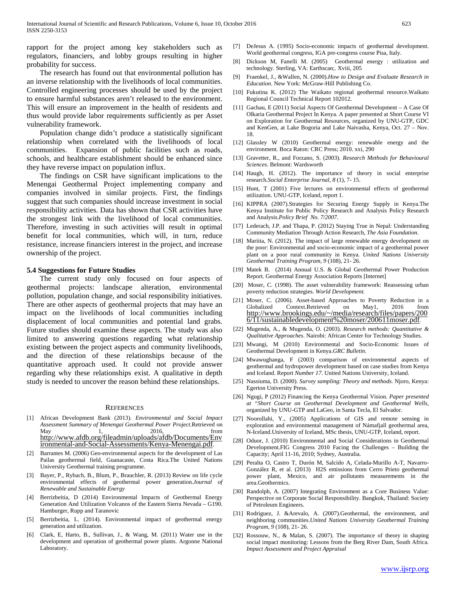rapport for the project among key stakeholders such as regulators, financiers, and lobby groups resulting in higher probability for success.

 The research has found out that environmental pollution has an inverse relationship with the livelihoods of local communities. Controlled engineering processes should be used by the project to ensure harmful substances aren't released to the environment. This will ensure an improvement in the health of residents and thus would provide labor requirements sufficiently as per Asset vulnerability framework.

 Population change didn't produce a statistically significant relationship when correlated with the livelihoods of local communities. Expansion of public facilities such as roads, schools, and healthcare establishment should be enhanced since they have reverse impact on population influx.

 The findings on CSR have significant implications to the Menengai Geothermal Project implementing company and companies involved in similar projects. First, the findings suggest that such companies should increase investment in social responsibility activities. Data has shown that CSR activities have the strongest link with the livelihood of local communities. Therefore, investing in such activities will result in optimal benefit for local communities, which will, in turn, reduce resistance, increase financiers interest in the project, and increase ownership of the project.

#### **5.4 Suggestions for Future Studies**

 The current study only focused on four aspects of geothermal projects: landscape alteration, environmental pollution, population change, and social responsibility initiatives. There are other aspects of geothermal projects that may have an impact on the livelihoods of local communities including displacement of local communities and potential land grabs. Future studies should examine these aspects. The study was also limited to answering questions regarding what relationship existing between the project aspects and community livelihoods, and the direction of these relationships because of the quantitative approach used. It could not provide answer regarding why these relationships exist. A qualitative in depth study is needed to uncover the reason behind these relationships.

#### **REFERENCES**

- [1] African Development Bank (2013). *Environmental and Social Impact Assessment Summary of Menengai Geothermal Power Project*.Retrieved on May 1, 2016, [http://www.afdb.org/fileadmin/uploads/afdb/Documents/Env](http://www.afdb.org/fileadmin/uploads/afdb/Documents/Environmental-and-Social-Assessments/Kenya-Menengai.pdf) [ironmental-and-Social-Assessments/Kenya-Menengai.pdf.](http://www.afdb.org/fileadmin/uploads/afdb/Documents/Environmental-and-Social-Assessments/Kenya-Menengai.pdf)
- [2] Barrantes M. (2006) Geo-environmental aspects for the development of Las Pailas geothermal field, Guanacaste, Costa Rica.The United Nations University Geothermal training programme.
- [3] Bayer, P., Rybach, B., Blum, P., Brauchler, R. (2013) Review on life cycle environmental effects of geothermal power generation.*Journal of Renewable and Sustainable Energy*
- [4] Berrizbeitia, D (2014) Environmental Impacts of Geothermal Energy Generation And Utilization Volcanos of the Eastern Sierra Nevada – G190. Hamburger, Rupp and Taranovic
- [5] Berrizbeitia, L. (2014). Environmental impact of geothermal energy generation and utilization.
- [6] Clark, E, Harto, B., Sullivan, J., & Wang, M. (2011) Water use in the development and operation of geothermal power plants. Argonne National Laboratory.
- [7] DeJesus A. (1995) Socio-economic impacts of geothermal development. World geothermal congress, IGA pre-congress course Pisa, Italy.
- [8] Dickson M, Fanelli M. (2005) Geothermal energy : utilization and technology. Sterling, VA: Earthscan;. Xviii, 205
- [9] Fraenkel, J., &Wallen, N. (2000).*How to Design and Evaluate Research in Education*. New York: McGraw-Hill Publishing Co.
- [10] Fukutina K. (2012) The Waikato regional geothermal resource. Waikato Regional Council Technical Report 102012.
- [11] Gachau, E (2011) Social Aspects Of Geothermal Development A Case Of Olkaria Geothermal Project In Kenya. A paper presented at Short Course VI on Exploration for Geothermal Resources, organized by UNU-GTP, GDC and KenGen, at Lake Bogoria and Lake Naivasha, Kenya, Oct. 27 – Nov. 18.
- [12] Glassley W (2010) Geothermal energy: renewable energy and the environment. Boca Raton: CRC Press; 2010. xxi, 290
- [13] Gravetter, R., and Forzano, S. (2003). *Research Methods for Behavioural Sciences*. Belmont: Wardsworth
- [14] Haugh, H. (2012). The importance of theory in social enterprise research.*Social Enterprise Journal, 8* (1), 7- 15.
- [15] Hunt, T (2001) Five lectures on environmental effects of geothermal utilization. UNU-GTP, Iceland, report 1.
- [16] KIPPRA (2007).Strategies for Securing Energy Supply in Kenya.The Kenya Institute for Public Policy Research and Analysis Policy Research and Analysis.*Policy Brief No. 7/2007.*
- [17] Lederach, J.P. and Thapa, P. (2012) Staying True in Nepal: Understanding Community Mediation Through Action Research, *The Asia Foundation.*
- [18] Mariita, N. (2012). The impact of large renewable energy development on the poor: Environmental and socio-economic impact of a geothermal power plant on a poor rural community in Kenya. *United Nations University Geothermal Training Program, 9* (108), 21- 26.
- [19] Matek B. (2014) Annual U.S. & Global Geothermal Power Production Report. Geothermal Energy Association Reports [Internet]
- [20] Moser, C. (1998). The asset vulnerability framework: Reassessing urban poverty reduction strategies. *World Development.*
- [21] Moser, C. (2006). Asset-based Approaches to Poverty Reduction in a Context.Retrieved on May1, 2016 from [http://www.brookings.edu/~/media/research/files/papers/200](http://www.brookings.edu/~/media/research/files/papers/2006/11/sustainabledevelopment%20moser/200611moser.pdf) [6/11/sustainabledevelopment%20moser/200611moser.pdf.](http://www.brookings.edu/~/media/research/files/papers/2006/11/sustainabledevelopment%20moser/200611moser.pdf)
- [22] Mugenda, A., & Mugenda, O. (2003). *Research methods: Quantitative & Qualitative Approaches*. Nairobi: African Center for Technology Studies.
- [23] Mwangi, M (2010) Environmental and Socio-Economic Issues of Geothermal Development in Kenya.*GRC Bulletin.*
- [24] Mwawughanga, F (2003) comparison of environmental aspects of geothermal and hydropower development based on case studies from Kenya and Iceland. Report *Number 17*. United Nations University, Iceland.
- [25] Nassiuma, D. (2000). *Survey sampling: Theory and methods*. Njoro, Kenya: Egerton University Press.
- [26] Ngugi, P (2012) Financing the Kenya Geothermal Vision. *Paper presented at "Short Course on Geothermal Development and Geothermal Wells*, organized by UNU-GTP and LaGeo, in Santa Tecla, El Salvador.
- [27] Noorollahi, Y., (2005) Applications of GIS and remote sensing in exploration and environmental management of Námafjall geothermal area, N-Iceland.University of Iceland, MSc thesis, UNU-GTP, Iceland, report.
- [28] Oduor, J. (2010) Environmental and Social Considerations in Geothermal Development.FIG Congress 2010 Facing the Challenges – Building the Capacity; April 11-16, 2010; Sydney, Australia.
- [29] Peralta O, Castro T, Durón M, Salcido A, Celada-Murillo A-T, Navarro-González R, et al. (2013) H2S emissions from Cerro Prieto geothermal power plant, Mexico, and air pollutants measurements in the area.Geothermics.
- [30] Randolph, A. (2007) Integrating Environment as a Core Business Value: Perspective on Corporate Social Responsibility. Bangkok, Thailand: Society of Petroleum Engineers.
- [31] Rodriguez, J. &Arevalo, A. (2007).Geothermal, the environment, and neighboring communities.*United Nations University Geothermal Training Program, 9* (108), 21- 26.
- [32] Rossouw, N., & Malan, S. (2007). The importance of theory in shaping social impact monitoring: Lessons from the Berg River Dam, South Africa. *Impact Assessment and Project Appraisal*